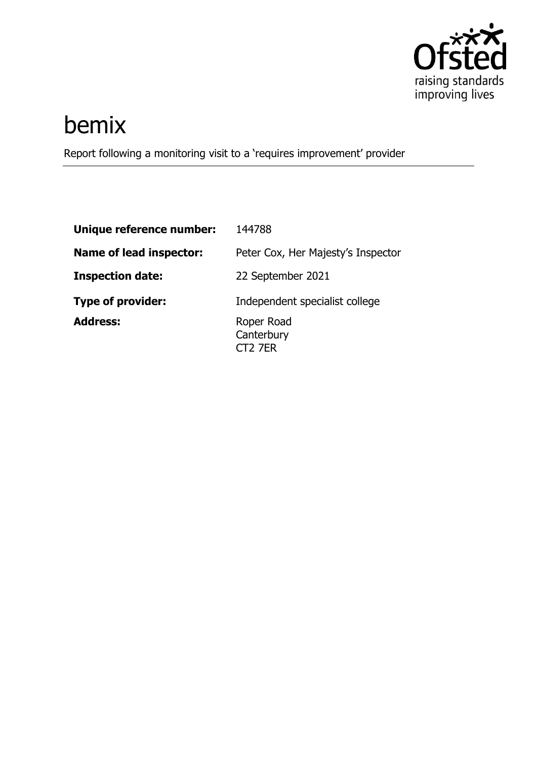

# bemix

Report following a monitoring visit to a 'requires improvement' provider

| Unique reference number:       | 144788                                          |
|--------------------------------|-------------------------------------------------|
| <b>Name of lead inspector:</b> | Peter Cox, Her Majesty's Inspector              |
| <b>Inspection date:</b>        | 22 September 2021                               |
| <b>Type of provider:</b>       | Independent specialist college                  |
| <b>Address:</b>                | Roper Road<br>Canterbury<br>CT <sub>2</sub> 7ER |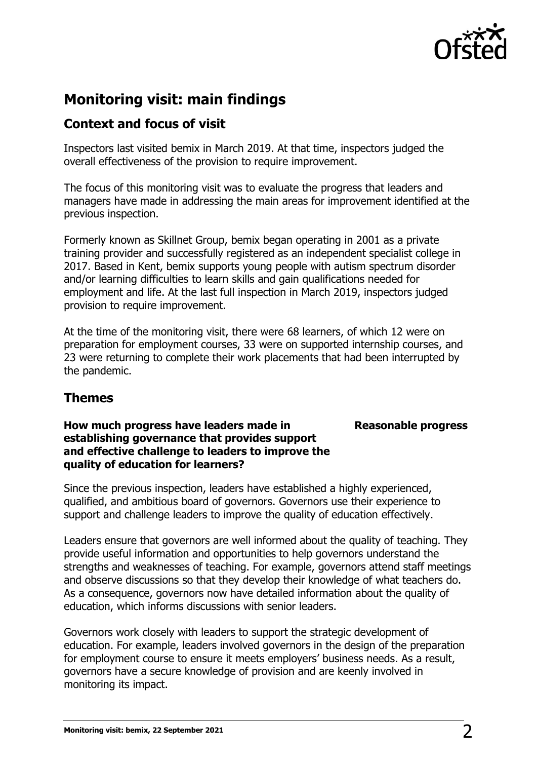

## **Monitoring visit: main findings**

## **Context and focus of visit**

Inspectors last visited bemix in March 2019. At that time, inspectors judged the overall effectiveness of the provision to require improvement.

The focus of this monitoring visit was to evaluate the progress that leaders and managers have made in addressing the main areas for improvement identified at the previous inspection.

Formerly known as Skillnet Group, bemix began operating in 2001 as a private training provider and successfully registered as an independent specialist college in 2017. Based in Kent, bemix supports young people with autism spectrum disorder and/or learning difficulties to learn skills and gain qualifications needed for employment and life. At the last full inspection in March 2019, inspectors judged provision to require improvement.

At the time of the monitoring visit, there were 68 learners, of which 12 were on preparation for employment courses, 33 were on supported internship courses, and 23 were returning to complete their work placements that had been interrupted by the pandemic.

## **Themes**

#### **How much progress have leaders made in establishing governance that provides support and effective challenge to leaders to improve the quality of education for learners?**

#### **Reasonable progress**

Since the previous inspection, leaders have established a highly experienced, qualified, and ambitious board of governors. Governors use their experience to support and challenge leaders to improve the quality of education effectively.

Leaders ensure that governors are well informed about the quality of teaching. They provide useful information and opportunities to help governors understand the strengths and weaknesses of teaching. For example, governors attend staff meetings and observe discussions so that they develop their knowledge of what teachers do. As a consequence, governors now have detailed information about the quality of education, which informs discussions with senior leaders.

Governors work closely with leaders to support the strategic development of education. For example, leaders involved governors in the design of the preparation for employment course to ensure it meets employers' business needs. As a result, governors have a secure knowledge of provision and are keenly involved in monitoring its impact.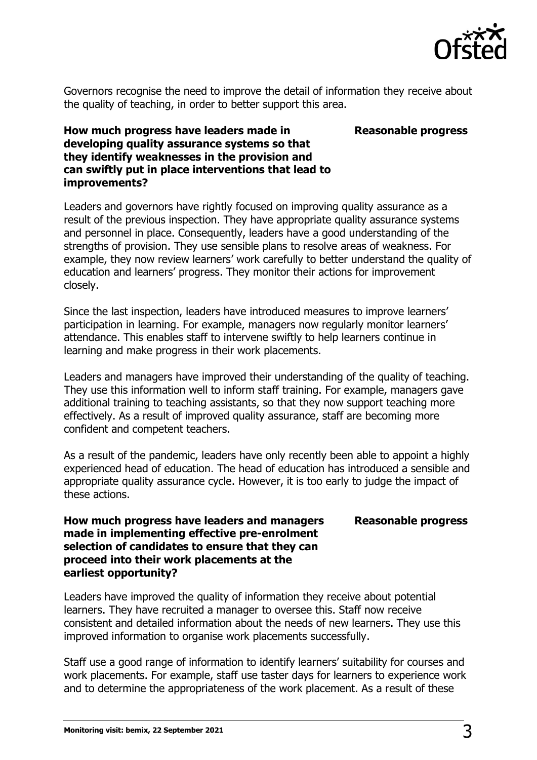

Governors recognise the need to improve the detail of information they receive about the quality of teaching, in order to better support this area.

#### **Reasonable progress**

#### **How much progress have leaders made in developing quality assurance systems so that they identify weaknesses in the provision and can swiftly put in place interventions that lead to improvements?**

Leaders and governors have rightly focused on improving quality assurance as a result of the previous inspection. They have appropriate quality assurance systems and personnel in place. Consequently, leaders have a good understanding of the strengths of provision. They use sensible plans to resolve areas of weakness. For example, they now review learners' work carefully to better understand the quality of education and learners' progress. They monitor their actions for improvement closely.

Since the last inspection, leaders have introduced measures to improve learners' participation in learning. For example, managers now regularly monitor learners' attendance. This enables staff to intervene swiftly to help learners continue in learning and make progress in their work placements.

Leaders and managers have improved their understanding of the quality of teaching. They use this information well to inform staff training. For example, managers gave additional training to teaching assistants, so that they now support teaching more effectively. As a result of improved quality assurance, staff are becoming more confident and competent teachers.

As a result of the pandemic, leaders have only recently been able to appoint a highly experienced head of education. The head of education has introduced a sensible and appropriate quality assurance cycle. However, it is too early to judge the impact of these actions.

#### **Reasonable progress**

#### **How much progress have leaders and managers made in implementing effective pre-enrolment selection of candidates to ensure that they can proceed into their work placements at the earliest opportunity?**

Leaders have improved the quality of information they receive about potential learners. They have recruited a manager to oversee this. Staff now receive consistent and detailed information about the needs of new learners. They use this improved information to organise work placements successfully.

Staff use a good range of information to identify learners' suitability for courses and work placements. For example, staff use taster days for learners to experience work and to determine the appropriateness of the work placement. As a result of these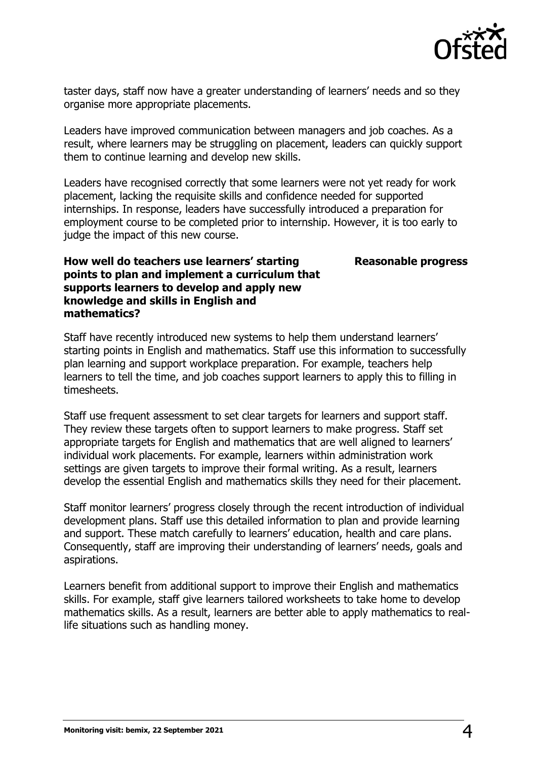

taster days, staff now have a greater understanding of learners' needs and so they organise more appropriate placements.

Leaders have improved communication between managers and job coaches. As a result, where learners may be struggling on placement, leaders can quickly support them to continue learning and develop new skills.

Leaders have recognised correctly that some learners were not yet ready for work placement, lacking the requisite skills and confidence needed for supported internships. In response, leaders have successfully introduced a preparation for employment course to be completed prior to internship. However, it is too early to judge the impact of this new course.

#### **Reasonable progress**

#### **How well do teachers use learners' starting points to plan and implement a curriculum that supports learners to develop and apply new knowledge and skills in English and mathematics?**

Staff have recently introduced new systems to help them understand learners' starting points in English and mathematics. Staff use this information to successfully plan learning and support workplace preparation. For example, teachers help learners to tell the time, and job coaches support learners to apply this to filling in timesheets.

Staff use frequent assessment to set clear targets for learners and support staff. They review these targets often to support learners to make progress. Staff set appropriate targets for English and mathematics that are well aligned to learners' individual work placements. For example, learners within administration work settings are given targets to improve their formal writing. As a result, learners develop the essential English and mathematics skills they need for their placement.

Staff monitor learners' progress closely through the recent introduction of individual development plans. Staff use this detailed information to plan and provide learning and support. These match carefully to learners' education, health and care plans. Consequently, staff are improving their understanding of learners' needs, goals and aspirations.

Learners benefit from additional support to improve their English and mathematics skills. For example, staff give learners tailored worksheets to take home to develop mathematics skills. As a result, learners are better able to apply mathematics to reallife situations such as handling money.